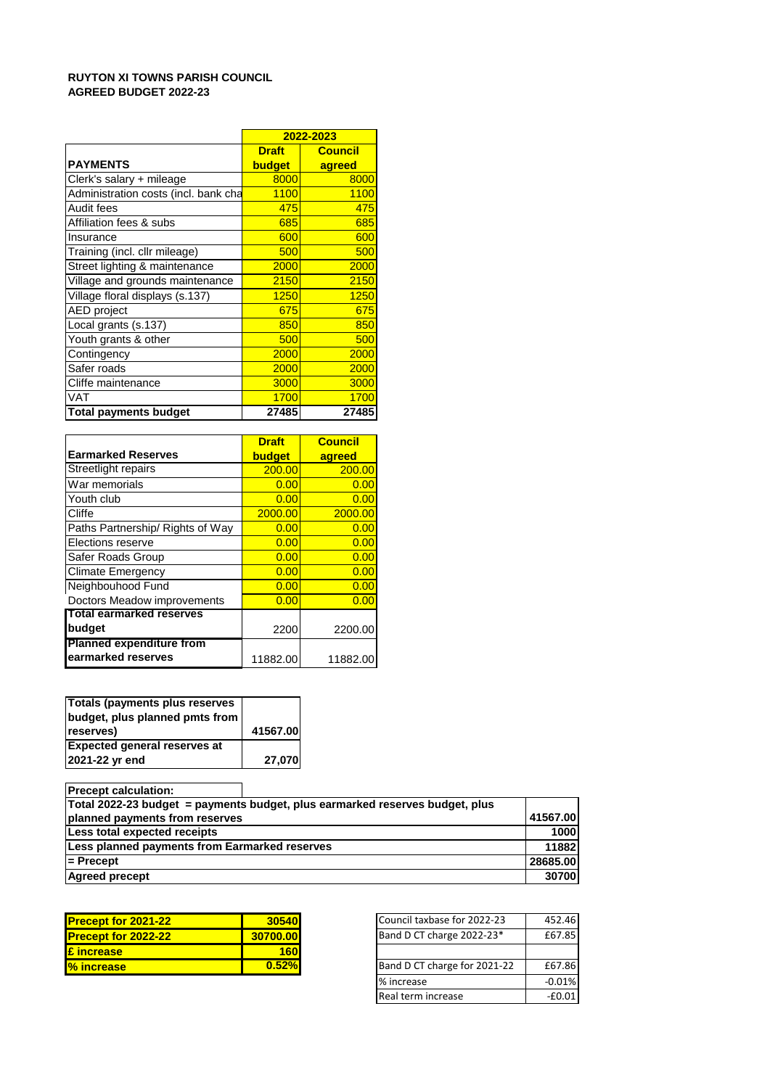# **RUYTON XI TOWNS PARISH COUNCIL AGREED BUDGET 2022-23**

|                                      | 2022-2023     |                |  |  |
|--------------------------------------|---------------|----------------|--|--|
|                                      | <b>Draft</b>  | <b>Council</b> |  |  |
| <b>PAYMENTS</b>                      | <b>budget</b> | agreed         |  |  |
| Clerk's salary + mileage             | 8000          | 8000           |  |  |
| Administration costs (incl. bank cha | 1100          | 1100           |  |  |
| Audit fees                           | 475           | 475            |  |  |
| Affiliation fees & subs              | 685           | 685            |  |  |
| Insurance                            | 600           | 600            |  |  |
| Training (incl. cllr mileage)        | 500           | 500            |  |  |
| Street lighting & maintenance        | 2000          | 2000           |  |  |
| Village and grounds maintenance      | 2150          | 2150           |  |  |
| Village floral displays (s.137)      | 1250          | 1250           |  |  |
| <b>AED</b> project                   | 675           | 675            |  |  |
| Local grants (s.137)                 | 850           | 850            |  |  |
| Youth grants & other                 | 500           | 500            |  |  |
| Contingency                          | 2000          | 2000           |  |  |
| Safer roads                          | 2000          | 2000           |  |  |
| Cliffe maintenance                   | 3000          | 3000           |  |  |
| <b>VAT</b>                           | 1700          | 1700           |  |  |
| <b>Total payments budget</b>         | 27485         | 27485          |  |  |

|                                  | <b>Draft</b>  | <b>Council</b> |
|----------------------------------|---------------|----------------|
| <b>Earmarked Reserves</b>        | <b>budget</b> | agreed         |
| Streetlight repairs              | 200.00        | 200.00         |
| War memorials                    | 0.00          | 0.00           |
| Youth club                       | 0.00          | 0.00           |
| Cliffe                           | 2000.00       | 2000.00        |
| Paths Partnership/ Rights of Way | 0.00          | 0.00           |
| Elections reserve                | 0.00          | 0.00           |
| Safer Roads Group                | 0.00          | 0.00           |
| <b>Climate Emergency</b>         | 0.00          | 0.00           |
| Neighbouhood Fund                | 0.00          | 0.00           |
| Doctors Meadow improvements      | 0.00          | 0.00           |
| <b>Total earmarked reserves</b>  |               |                |
| budget                           | 2200          | 2200.00        |
| <b>Planned expenditure from</b>  |               |                |
| earmarked reserves               | 11882.00      | 11882.00       |

| Totals (payments plus reserves      |          |
|-------------------------------------|----------|
| budget, plus planned pmts from      |          |
| reserves)                           | 41567.00 |
| <b>Expected general reserves at</b> |          |
| 2021-22 yr end                      | 27,070   |

**Precept calculation: 41567.00 1000 11882 28685.00 30700 Agreed precept Less planned payments from Earmarked reserves = Precept Total 2022-23 budget = payments budget, plus earmarked reserves budget, plus planned payments from reserves Less total expected receipts** 

| <b>Precept for 2021-22</b> | 30540    | Council taxbase for 2022-23  | 452.46 |
|----------------------------|----------|------------------------------|--------|
| <b>Precept for 2022-22</b> | 30700.00 | Band D CT charge 2022-23*    | £67.85 |
| <b>E</b> increase          | 160l     |                              |        |
| <b>% increase</b>          | 0.52%    | Band D CT charge for 2021-22 | £67.86 |
|                            |          |                              |        |

| Council taxbase for 2022-23  | 452.46   |
|------------------------------|----------|
| Band D CT charge 2022-23*    | £67.85   |
|                              |          |
| Band D CT charge for 2021-22 | £67.86   |
| % increase                   | $-0.01%$ |
| Real term increase           | $-60.01$ |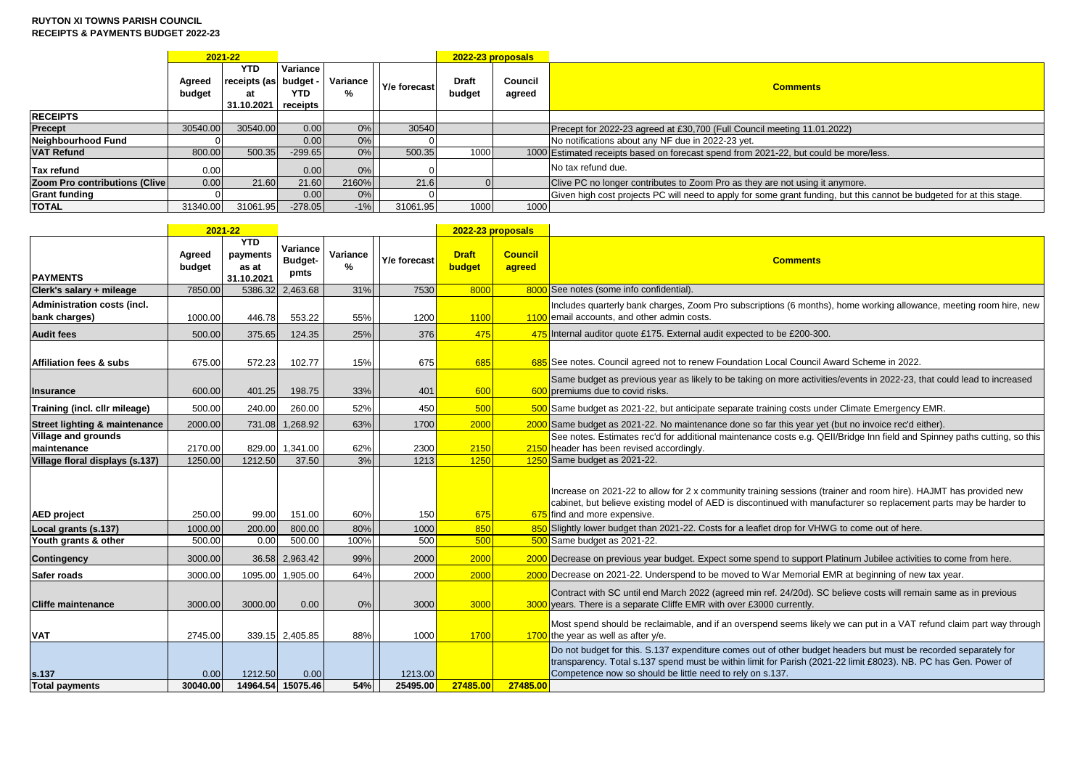## **RUYTON XI TOWNS PARISH COUNCIL RECEIPTS & PAYMENTS BUDGET 2022-23**

|                                |                  | 2021-22                                               |                             |               |              |                        | 2022-23 proposals |                                                                                                                       |
|--------------------------------|------------------|-------------------------------------------------------|-----------------------------|---------------|--------------|------------------------|-------------------|-----------------------------------------------------------------------------------------------------------------------|
|                                | Agreed<br>budget | <b>YTD</b><br>receipts (as budget<br>at<br>31.10.2021 | Variance<br>YTD<br>receipts | Variance<br>% | Y/e forecast | <b>Draft</b><br>budget | Council<br>agreed | <b>Comments</b>                                                                                                       |
| <b>RECEIPTS</b>                |                  |                                                       |                             |               |              |                        |                   |                                                                                                                       |
| Precept                        | 30540.00         | 30540.00                                              | 0.00                        | 0%            | 30540        |                        |                   | Precept for 2022-23 agreed at £30,700 (Full Council meeting 11.01.2022)                                               |
| Neighbourhood Fund             |                  |                                                       | 0.001                       | $0\%$         |              |                        |                   | No notifications about any NF due in 2022-23 yet.                                                                     |
| <b>VAT Refund</b>              | 800.00           | 500.35                                                | $-299.65$                   | 0%            | 500.35       | 1000                   |                   | 1000 Estimated receipts based on forecast spend from 2021-22, but could be more/less.                                 |
| Tax refund                     | 0.00             |                                                       | 0.00                        | 0%            |              |                        |                   | No tax refund due.                                                                                                    |
| Zoom Pro contributions (Clive) | 0.00             | 21.60                                                 | 21.60                       | 2160%         | 21.6         |                        |                   | Clive PC no longer contributes to Zoom Pro as they are not using it anymore.                                          |
| <b>Grant funding</b>           |                  |                                                       | 0.00                        | 0%            |              |                        |                   | Given high cost projects PC will need to apply for some grant funding, but this cannot be budgeted for at this stage. |
| <b>TOTAL</b>                   | 31340.00         | 31061.95                                              | $-278.05$                   | $-1\%$        | 31061.95     | 1000                   | 1000              |                                                                                                                       |

|                                              |                  | 2021-22                                       |                                    |               |                     | 2022-23 proposals      |                          |                                                                                                                                                                                                                                                                                                 |
|----------------------------------------------|------------------|-----------------------------------------------|------------------------------------|---------------|---------------------|------------------------|--------------------------|-------------------------------------------------------------------------------------------------------------------------------------------------------------------------------------------------------------------------------------------------------------------------------------------------|
| <b>PAYMENTS</b>                              | Agreed<br>budget | <b>YTD</b><br>payments<br>as at<br>31.10.2021 | Variance<br><b>Budget-</b><br>pmts | Variance<br>% | Y/e forecast        | <b>Draft</b><br>budget | <b>Council</b><br>agreed | <b>Comments</b>                                                                                                                                                                                                                                                                                 |
| Clerk's salary + mileage                     | 7850.00          |                                               | 5386.32 2,463.68                   | 31%           | 7530                | 8000                   |                          | 8000 See notes (some info confidential).                                                                                                                                                                                                                                                        |
| Administration costs (incl.<br>bank charges) | 1000.00          | 446.78                                        | 553.22                             | 55%           | 1200                | 1100                   |                          | Includes quarterly bank charges, Zoom Pro subscriptions (6 months), home working allowance, meeting room hire, new<br>1100 email accounts, and other admin costs.                                                                                                                               |
| <b>Audit fees</b>                            | 500.00           | 375.65                                        | 124.35                             | 25%           | 376                 | 475                    |                          | 475 Internal auditor quote £175. External audit expected to be £200-300.                                                                                                                                                                                                                        |
| <b>Affiliation fees &amp; subs</b>           | 675.00           | 572.23                                        | 102.77                             | 15%           | 675                 | 685                    |                          | 685 See notes. Council agreed not to renew Foundation Local Council Award Scheme in 2022.                                                                                                                                                                                                       |
| Insurance                                    | 600.00           | 401.25                                        | 198.75                             | 33%           | 401                 | 600                    |                          | Same budget as previous year as likely to be taking on more activities/events in 2022-23, that could lead to increased<br>600 premiums due to covid risks.                                                                                                                                      |
| Training (incl. cllr mileage)                | 500.00           | 240.00                                        | 260.00                             | 52%           | 450                 | 500                    |                          | 500 Same budget as 2021-22, but anticipate separate training costs under Climate Emergency EMR.                                                                                                                                                                                                 |
| Street lighting & maintenance                | 2000.00          | 731.08                                        | 1.268.92                           | 63%           | 1700                | 2000                   |                          | 2000 Same budget as 2021-22. No maintenance done so far this year yet (but no invoice rec'd either).                                                                                                                                                                                            |
| <b>Village and grounds</b><br>maintenance    | 2170.00          |                                               | 829.00 1,341.00                    | 62%           | 2300                | 2150                   |                          | See notes. Estimates rec'd for additional maintenance costs e.g. QEII/Bridge Inn field and Spinney paths cutting, so this<br>2150 header has been revised accordingly.                                                                                                                          |
| Village floral displays (s.137)              | 1250.00          | 1212.50                                       | 37.50                              | 3%            | 1213                | 1250                   |                          | 1250 Same budget as 2021-22.                                                                                                                                                                                                                                                                    |
| <b>AED</b> project                           | 250.00           | 99.00                                         | 151.00                             | 60%           | 150                 | 675                    |                          | Increase on 2021-22 to allow for 2 x community training sessions (trainer and room hire). HAJMT has provided new<br>cabinet, but believe existing model of AED is discontinued with manufacturer so replacement parts may be harder to<br>675 find and more expensive.                          |
| Local grants (s.137)                         | 1000.00          | 200.00                                        | 800.00                             | 80%           | 1000                | 850                    |                          | 850 Slightly lower budget than 2021-22. Costs for a leaflet drop for VHWG to come out of here.                                                                                                                                                                                                  |
| Youth grants & other                         | 500.00           | 0.00                                          | 500.00                             | 100%          | 500                 | 500                    |                          | 500 Same budget as 2021-22.                                                                                                                                                                                                                                                                     |
| <b>Contingency</b>                           | 3000.00          |                                               | 36.58 2,963.42                     | 99%           | 2000                | 2000                   |                          | 2000 Decrease on previous year budget. Expect some spend to support Platinum Jubilee activities to come from here.                                                                                                                                                                              |
| Safer roads                                  | 3000.00          | 1095.00                                       | 1,905.00                           | 64%           | 2000                | 2000                   |                          | 2000 Decrease on 2021-22. Underspend to be moved to War Memorial EMR at beginning of new tax year.                                                                                                                                                                                              |
| <b>Cliffe maintenance</b>                    | 3000.00          | 3000.00                                       | 0.00                               | 0%            | 3000                | 3000                   |                          | Contract with SC until end March 2022 (agreed min ref. 24/20d). SC believe costs will remain same as in previous<br>3000 years. There is a separate Cliffe EMR with over £3000 currently.                                                                                                       |
| <b>VAT</b>                                   | 2745.00          |                                               | 339.15 2.405.85                    | 88%           | 1000                | 1700                   |                          | Most spend should be reclaimable, and if an overspend seems likely we can put in a VAT refund claim part way through<br>$1700$ the year as well as after y/e.                                                                                                                                   |
| s.137<br><b>Total payments</b>               | 0.00<br>30040.00 | 1212.50                                       | 0.00<br>14964.54 15075.46          | 54%           | 1213.00<br>25495.00 | 27485.00               | 27485.00                 | Do not budget for this. S.137 expenditure comes out of other budget headers but must be recorded separately for<br>transparency. Total s.137 spend must be within limit for Parish (2021-22 limit £8023). NB. PC has Gen. Power of<br>Competence now so should be little need to rely on s.137. |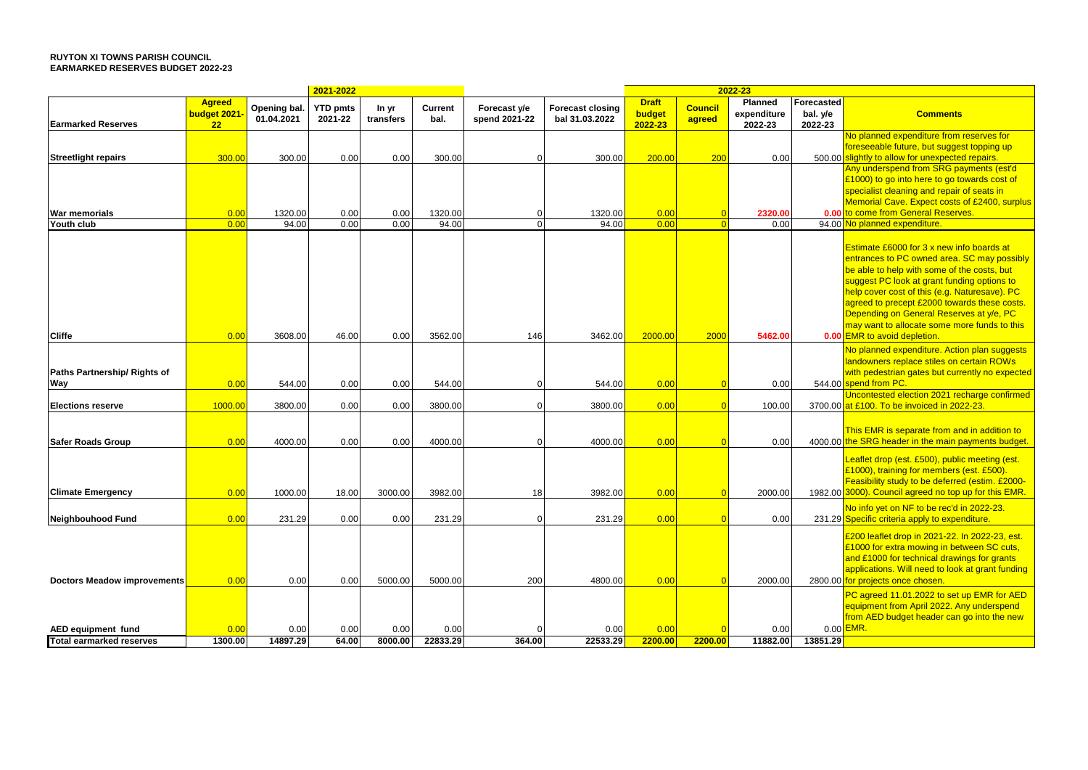## **RUYTON XI TOWNS PARISH COUNCIL EARMARKED RESERVES BUDGET 2022-23**

|                                                       |                 |                  | 2021-2022       |                 |                  |               |                         | 2022-23         |                |                  |            |                                                                                                          |
|-------------------------------------------------------|-----------------|------------------|-----------------|-----------------|------------------|---------------|-------------------------|-----------------|----------------|------------------|------------|----------------------------------------------------------------------------------------------------------|
|                                                       | <b>Agreed</b>   | Opening bal.     | <b>YTD pmts</b> | In yr           | Current          | Forecast y/e  | <b>Forecast closing</b> | <b>Draft</b>    | <b>Council</b> | <b>Planned</b>   | Forecasted |                                                                                                          |
|                                                       | budget 2021     | 01.04.2021       | 2021-22         | transfers       | bal.             | spend 2021-22 | bal 31.03.2022          | budget          | agreed         | expenditure      | bal. y/e   | <b>Comments</b>                                                                                          |
| <b>Earmarked Reserves</b>                             | 22              |                  |                 |                 |                  |               |                         | 2022-23         |                | 2022-23          | 2022-23    |                                                                                                          |
|                                                       |                 |                  |                 |                 |                  |               |                         |                 |                |                  |            | No planned expenditure from reserves for                                                                 |
|                                                       |                 |                  |                 |                 |                  | ∩             |                         | 200.00          |                |                  |            | foreseeable future, but suggest topping up<br>500.00 slightly to allow for unexpected repairs.           |
| <b>Streetlight repairs</b>                            | 300.00          | 300.00           | 0.00            | 0.00            | 300.00           |               | 300.00                  |                 | 200            | 0.00             |            | Any underspend from SRG payments (est'd                                                                  |
|                                                       |                 |                  |                 |                 |                  |               |                         |                 |                |                  |            | £1000) to go into here to go towards cost of                                                             |
|                                                       |                 |                  |                 |                 |                  |               |                         |                 |                |                  |            | specialist cleaning and repair of seats in                                                               |
|                                                       |                 |                  |                 |                 |                  |               |                         |                 |                |                  |            | Memorial Cave. Expect costs of £2400, surplus                                                            |
| <b>War memorials</b>                                  | 0.00            | 1320.00          | 0.00            | 0.00            | 1320.00          | 0             | 1320.00                 | 0.00            |                | 2320.00          |            | 0.00 to come from General Reserves.                                                                      |
| Youth club                                            | 0.00            | 94.00            | 0.00            | 0.00            | 94.00            | $\Omega$      | 94.00                   | 0.00            |                | 0.00             |            | 94.00 No planned expenditure.                                                                            |
|                                                       |                 |                  |                 |                 |                  |               |                         |                 |                |                  |            |                                                                                                          |
|                                                       |                 |                  |                 |                 |                  |               |                         |                 |                |                  |            | Estimate £6000 for 3 x new info boards at                                                                |
|                                                       |                 |                  |                 |                 |                  |               |                         |                 |                |                  |            | entrances to PC owned area. SC may possibly                                                              |
|                                                       |                 |                  |                 |                 |                  |               |                         |                 |                |                  |            | be able to help with some of the costs, but<br>suggest PC look at grant funding options to               |
|                                                       |                 |                  |                 |                 |                  |               |                         |                 |                |                  |            | help cover cost of this (e.g. Naturesave). PC                                                            |
|                                                       |                 |                  |                 |                 |                  |               |                         |                 |                |                  |            | agreed to precept £2000 towards these costs.                                                             |
|                                                       |                 |                  |                 |                 |                  |               |                         |                 |                |                  |            | Depending on General Reserves at y/e, PC                                                                 |
|                                                       |                 |                  |                 |                 |                  |               |                         |                 |                |                  |            | may want to allocate some more funds to this                                                             |
| <b>Cliffe</b>                                         | 0.00            | 3608.00          | 46.00           | 0.00            | 3562.00          | 146           | 3462.00                 | 2000.00         | 2000           | 5462.00          |            | 0.00 EMR to avoid depletion.                                                                             |
|                                                       |                 |                  |                 |                 |                  |               |                         |                 |                |                  |            | No planned expenditure. Action plan suggests                                                             |
|                                                       |                 |                  |                 |                 |                  |               |                         |                 |                |                  |            | landowners replace stiles on certain ROWs                                                                |
| Paths Partnership/ Rights of                          |                 |                  |                 |                 |                  |               |                         |                 |                |                  |            | with pedestrian gates but currently no expected                                                          |
| Way                                                   | 0.00            | 544.00           | 0.00            | 0.00            | 544.00           | $\Omega$      | 544.00                  | 0.00            |                | 0.00             |            | 544.00 spend from PC.                                                                                    |
|                                                       |                 |                  |                 |                 |                  |               |                         |                 |                |                  |            | Uncontested election 2021 recharge confirmed                                                             |
| <b>Elections reserve</b>                              | 1000.00         | 3800.00          | 0.00            | 0.00            | 3800.00          | $\Omega$      | 3800.00                 | 0.00            | $\Omega$       | 100.00           |            | 3700.00 at £100. To be invoiced in 2022-23.                                                              |
|                                                       |                 |                  |                 |                 |                  |               |                         |                 |                |                  |            |                                                                                                          |
| <b>Safer Roads Group</b>                              | 0.00            | 4000.00          | 0.00            | 0.00            | 4000.00          | $\Omega$      | 4000.00                 | 0.00            |                | 0.00             |            | This EMR is separate from and in addition to<br>4000.00 the SRG header in the main payments budget.      |
|                                                       |                 |                  |                 |                 |                  |               |                         |                 |                |                  |            |                                                                                                          |
|                                                       |                 |                  |                 |                 |                  |               |                         |                 |                |                  |            | Leaflet drop (est. £500), public meeting (est.                                                           |
|                                                       |                 |                  |                 |                 |                  |               |                         |                 |                |                  |            | £1000), training for members (est. £500).                                                                |
|                                                       | 0.00            |                  |                 |                 | 3982.00          |               | 3982.00                 | 0.00            |                |                  |            | Feasibility study to be deferred (estim. £2000-<br>1982.00 3000). Council agreed no top up for this EMR. |
| <b>Climate Emergency</b>                              |                 | 1000.00          | 18.00           | 3000.00         |                  | 18            |                         |                 |                | 2000.00          |            |                                                                                                          |
|                                                       |                 |                  |                 |                 |                  |               |                         |                 |                |                  |            | No info yet on NF to be rec'd in 2022-23.                                                                |
| <b>Neighbouhood Fund</b>                              | 0.00            | 231.29           | 0.00            | 0.00            | 231.29           |               | 231.29                  | 0.00            |                | 0.00             |            | 231.29 Specific criteria apply to expenditure.                                                           |
|                                                       |                 |                  |                 |                 |                  |               |                         |                 |                |                  |            | £200 leaflet drop in 2021-22. In 2022-23, est.                                                           |
|                                                       |                 |                  |                 |                 |                  |               |                         |                 |                |                  |            | £1000 for extra mowing in between SC cuts,                                                               |
|                                                       |                 |                  |                 |                 |                  |               |                         |                 |                |                  |            | and £1000 for technical drawings for grants                                                              |
|                                                       |                 |                  |                 |                 |                  |               |                         |                 |                |                  |            | applications. Will need to look at grant funding                                                         |
| <b>Doctors Meadow improvements</b>                    | 0.00            | 0.00             | 0.00            | 5000.00         | 5000.00          | 200           | 4800.00                 | 0.00            |                | 2000.00          |            | 2800.00 for projects once chosen.                                                                        |
|                                                       |                 |                  |                 |                 |                  |               |                         |                 |                |                  |            | PC agreed 11.01.2022 to set up EMR for AED                                                               |
|                                                       |                 |                  |                 |                 |                  |               |                         |                 |                |                  |            | equipment from April 2022. Any underspend                                                                |
|                                                       |                 |                  |                 |                 |                  |               |                         |                 |                |                  |            | from AED budget header can go into the new<br>$0.00$ EMR.                                                |
| AED equipment fund<br><b>Total earmarked reserves</b> | 0.00<br>1300.00 | 0.00<br>14897.29 | 0.00<br>64.00   | 0.00<br>8000.00 | 0.00<br>22833.29 | C<br>364.00   | 0.00<br>22533.29        | 0.00<br>2200.00 | 2200.00        | 0.00<br>11882.00 | 13851.29   |                                                                                                          |
|                                                       |                 |                  |                 |                 |                  |               |                         |                 |                |                  |            |                                                                                                          |